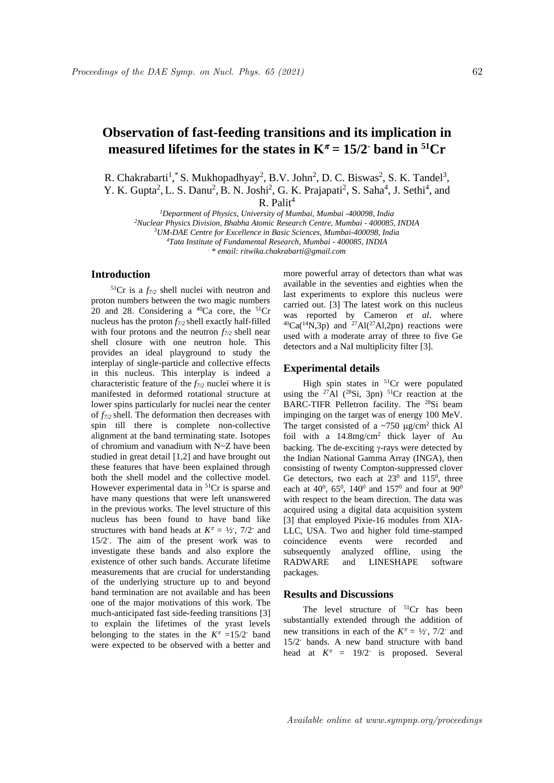# **Observation of fast-feeding transitions and its implication in measured lifetimes for the states in**  $K^{\pi} = 15/2$ **<b>· band in** <sup>51</sup>Cr

R. Chakrabarti<sup>1</sup>, S. Mukhopadhyay<sup>2</sup>, B.V. John<sup>2</sup>, D. C. Biswas<sup>2</sup>, S. K. Tandel<sup>3</sup>, Y. K. Gupta<sup>2</sup>, L. S. Danu<sup>2</sup>, B. N. Joshi<sup>2</sup>, G. K. Prajapati<sup>2</sup>, S. Saha<sup>4</sup>, J. Sethi<sup>4</sup>, and  $R.$  Palit<sup>4</sup>

*Department of Physics, University of Mumbai, Mumbai -400098, India Nuclear Physics Division, Bhabha Atomic Research Centre, Mumbai - 400085, INDIA UM-DAE Centre for Excellence in Basic Sciences, Mumbai-400098, India Tata Institute of Fundamental Research, Mumbai - 400085, INDIA*

*. \* email: ritwika.chakrabarti@gmail.com*

## **Introduction**

 $51Cr$  is a  $f_{7/2}$  shell nuclei with neutron and proton numbers between the two magic numbers 20 and 28. Considering a  $^{40}Ca$  core, the  $^{51}Cr$ nucleus has the proton *f7/2* shell exactly half-filled with four protons and the neutron *f7/2* shell near shell closure with one neutron hole. This provides an ideal playground to study the interplay of single-particle and collective effects in this nucleus. This interplay is indeed a characteristic feature of the *f7/2* nuclei where it is manifested in deformed rotational structure at lower spins particularly for nuclei near the center of *f7/2* shell. The deformation then decreases with spin till there is complete non-collective alignment at the band terminating state. Isotopes of chromium and vanadium with N~Z have been studied in great detail [1,2] and have brought out these features that have been explained through both the shell model and the collective model. However experimental data in <sup>51</sup>Cr is sparse and have many questions that were left unanswered in the previous works. The level structure of this nucleus has been found to have band like structures with band heads at  $K^{\pi} = \frac{1}{2}$ , 7/2<sup>-</sup> and 15/2- . The aim of the present work was to investigate these bands and also explore the existence of other such bands. Accurate lifetime measurements that are crucial for understanding of the underlying structure up to and beyond band termination are not available and has been one of the major motivations of this work. The much-anticipated fast side-feeding transitions [3] to explain the lifetimes of the yrast levels belonging to the states in the  $K^{\pi}$  =15/2<sup>-</sup> band were expected to be observed with a better and

more powerful array of detectors than what was available in the seventies and eighties when the last experiments to explore this nucleus were carried out. [3] The latest work on this nucleus was reported by Cameron *et al*. where  $^{40}Ca(^{14}N,3p)$  and  $^{27}Al(^{27}Al,2pn)$  reactions were used with a moderate array of three to five Ge detectors and a NaI multiplicity filter [3].

#### **Experimental details**

High spin states in <sup>51</sup>Cr were populated using the <sup>27</sup>Al (<sup>28</sup>Si, 3pn) <sup>51</sup>Cr reaction at the BARC-TIFR Pelletron facility. The <sup>28</sup>Si beam impinging on the target was of energy 100 MeV. The target consisted of a  $\sim$ 750  $\mu$ g/cm<sup>2</sup> thick Al foil with a  $14.8 \text{mg/cm}^2$  thick layer of Au backing. The de-exciting  $\gamma$ -rays were detected by the Indian National Gamma Array (INGA), then consisting of twenty Compton-suppressed clover Ge detectors, two each at  $23^0$  and  $115^0$ , three each at 40<sup>0</sup>, 65<sup>0</sup>, 140<sup>0</sup> and 157<sup>0</sup> and four at 90<sup>0</sup> with respect to the beam direction. The data was acquired using a digital data acquisition system [3] that employed Pixie-16 modules from XIA-LLC, USA. Two and higher fold time-stamped coincidence events were recorded and<br>subsequently analyzed offline, using the analyzed offline, using the RADWARE and LINESHAPE software packages.

## **Results and Discussions**

The level structure of <sup>51</sup>Cr has been substantially extended through the addition of new transitions in each of the  $K^{\pi} = \frac{1}{2}$ , 7/2<sup>-</sup> and 15/2- bands. A new band structure with band head at  $K^{\pi} = 19/2$  is proposed. Several